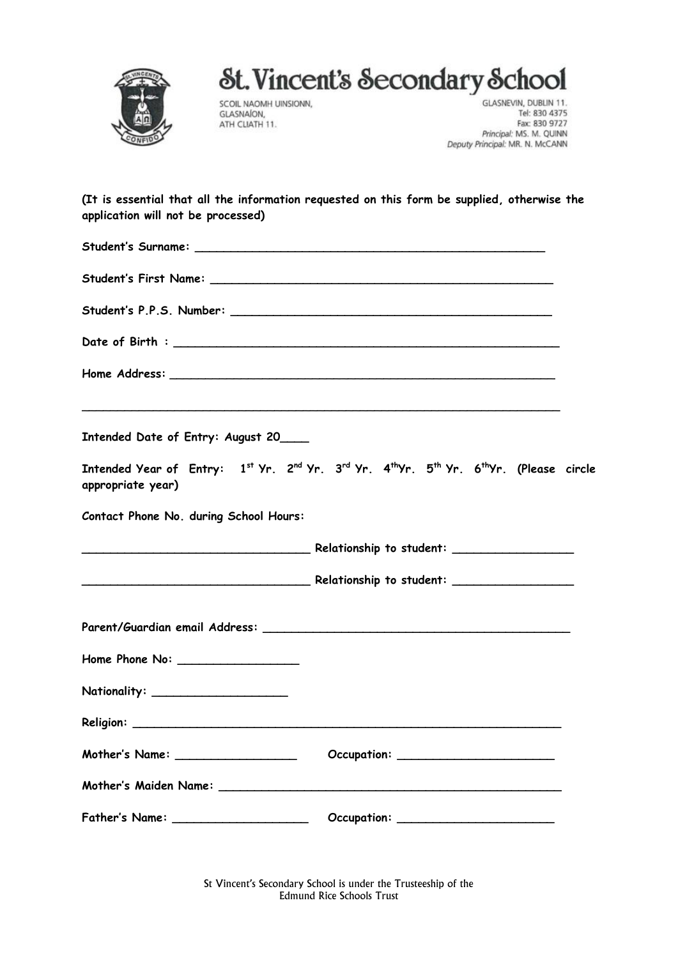

## St. Vincent's Secondary School

SCOIL NAOMH UINSIONN, GLASNAION, ATH CLIATH 11.

GLASNEVIN, DUBLIN 11. Tel: 830 4375 Fax: 830 9727 Principal: MS. M. QUINN Deputy Principal: MR. N. McCANN

**(It is essential that all the information requested on this form be supplied, otherwise the application will not be processed)**

| Intended Date of Entry: August 20_     | ,我们也不能在这里的时候,我们也不能会在这里的时候,我们也不能会在这里的时候,我们也不能会在这里的时候,我们也不能会在这里的时候,我们也不能会在这里的时候,我们                                                                   |  |
|----------------------------------------|----------------------------------------------------------------------------------------------------------------------------------------------------|--|
| appropriate year)                      | Intended Year of Entry: 1st Yr. 2 <sup>nd</sup> Yr. 3 <sup>rd</sup> Yr. 4 <sup>th</sup> Yr. 5 <sup>th</sup> Yr. 6 <sup>th</sup> Yr. (Please circle |  |
| Contact Phone No. during School Hours: |                                                                                                                                                    |  |
|                                        |                                                                                                                                                    |  |
|                                        |                                                                                                                                                    |  |
|                                        |                                                                                                                                                    |  |
|                                        |                                                                                                                                                    |  |
| Nationality: ______________________    |                                                                                                                                                    |  |
|                                        |                                                                                                                                                    |  |
| Mother's Name: ____________________    |                                                                                                                                                    |  |
|                                        |                                                                                                                                                    |  |
| Father's Name: ____________________    |                                                                                                                                                    |  |

St Vincent's Secondary School is under the Trusteeship of the Edmund Rice Schools Trust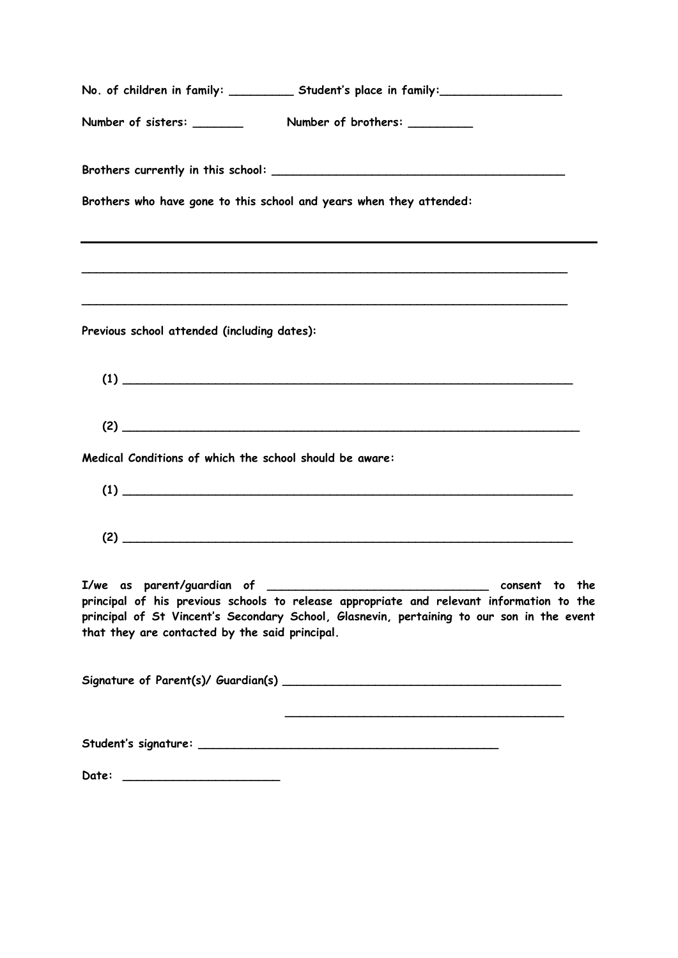|                                                         | No. of children in family: __________ Student's place in family: _______________                                                                                                      |
|---------------------------------------------------------|---------------------------------------------------------------------------------------------------------------------------------------------------------------------------------------|
|                                                         |                                                                                                                                                                                       |
|                                                         |                                                                                                                                                                                       |
|                                                         | Brothers who have gone to this school and years when they attended:                                                                                                                   |
|                                                         | ,我们也不会有什么。""我们的人,我们也不会有什么?""我们的人,我们也不会有什么?""我们的人,我们也不会有什么?""我们的人,我们也不会有什么?""我们的人                                                                                                      |
| Previous school attended (including dates):             |                                                                                                                                                                                       |
|                                                         |                                                                                                                                                                                       |
|                                                         |                                                                                                                                                                                       |
| Medical Conditions of which the school should be aware: |                                                                                                                                                                                       |
|                                                         |                                                                                                                                                                                       |
|                                                         |                                                                                                                                                                                       |
| that they are contacted by the said principal.          | principal of his previous schools to release appropriate and relevant information to the<br>principal of St Vincent's Secondary School, Glasnevin, pertaining to our son in the event |
|                                                         |                                                                                                                                                                                       |
|                                                         |                                                                                                                                                                                       |
|                                                         |                                                                                                                                                                                       |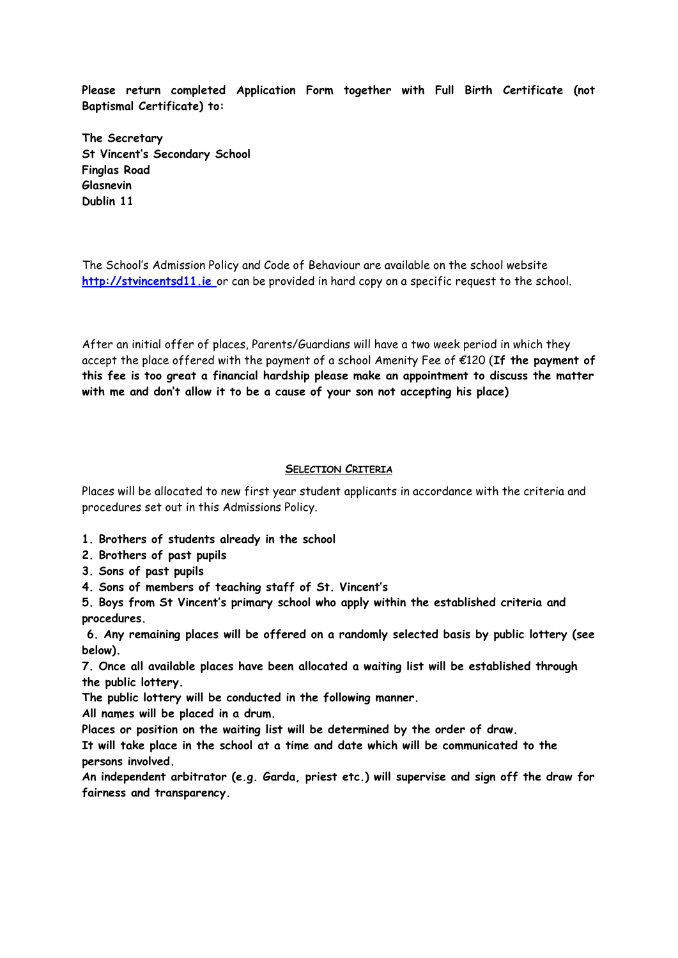**Please return completed Application Form together with Full Birth Certificate (not Baptismal Certificate) to:**

**The Secretary St Vincent's Secondary School Finglas Road Glasnevin Dublin 11**

The School's Admission Policy and Code of Behaviour are available on the school website **[http://stvincentsd11.ie](http://stvincentsd11.ie/)** or can be provided in hard copy on a specific request to the school.

After an initial offer of places, Parents/Guardians will have a two week period in which they accept the place offered with the payment of a school Amenity Fee of €120 (**If the payment of this fee is too great a financial hardship please make an appointment to discuss the matter with me and don't allow it to be a cause of your son not accepting his place)**

## **SELECTION CRITERIA**

Places will be allocated to new first year student applicants in accordance with the criteria and procedures set out in this Admissions Policy.

- **1. Brothers of students already in the school**
- **2. Brothers of past pupils**
- **3. Sons of past pupils**
- **4. Sons of members of teaching staff of St. Vincent's**

**5. Boys from St Vincent's primary school who apply within the established criteria and procedures.**

**6. Any remaining places will be offered on a randomly selected basis by public lottery (see below).** 

**7. Once all available places have been allocated a waiting list will be established through the public lottery.** 

**The public lottery will be conducted in the following manner.** 

**All names will be placed in a drum.** 

**Places or position on the waiting list will be determined by the order of draw.** 

**It will take place in the school at a time and date which will be communicated to the persons involved.** 

**An independent arbitrator (e.g. Garda, priest etc.) will supervise and sign off the draw for fairness and transparency.**